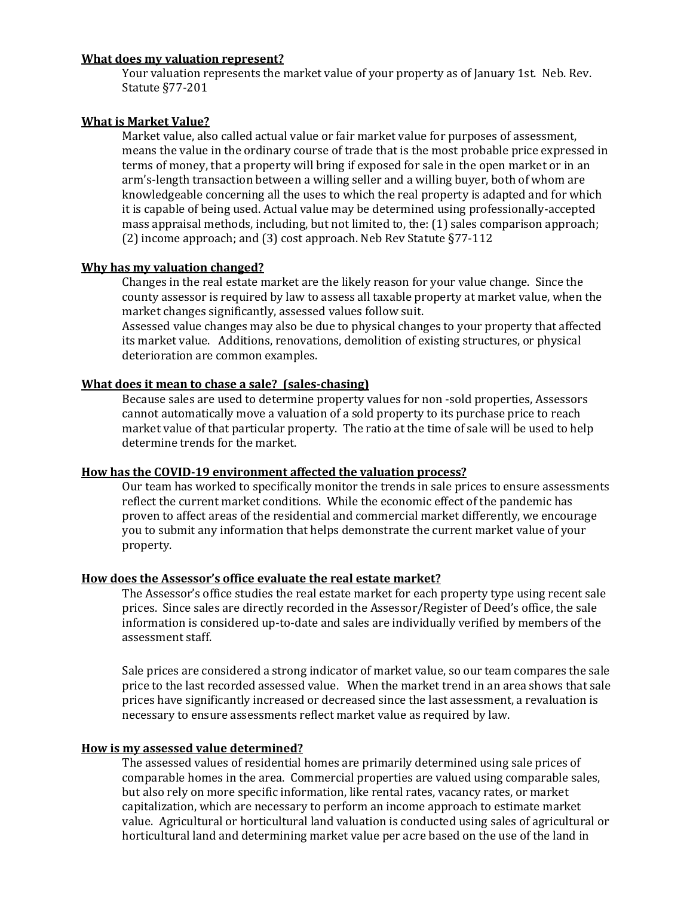### **What does my valuation [represent?](https://www.sarpy.gov/Faq.aspx?QID=86)**

Your valuation represents the market value of your property as of January 1st. Neb. Rev. Statute §77-201

#### **What is Market Value?**

Market value, also called actual value or fair market value for purposes of assessment, means the value in the ordinary course of trade that is the most probable price expressed in terms of money, that a property will bring if exposed for sale in the open market or in an arm's-length transaction between a willing seller and a willing buyer, both of whom are knowledgeable concerning all the uses to which the real property is adapted and for which it is capable of being used. Actual value may be determined using professionally-accepted mass appraisal methods, including, but not limited to, the: (1) sales comparison approach; (2) income approach; and (3) cost approach. Neb Rev Statute §77-112

### **Why has my [valuation](https://www.lancaster.ne.gov/Faq.aspx?TID=16) changed?**

Changes in the real estate market are the likely reason for your value change. Since the county assessor is required by law to assess all taxable property at market value, when the market changes significantly, assessed values follow suit.

Assessed value changes may also be due to physical changes to your property that affected its market value. Additions, renovations, demolition of existing structures, or physical deterioration are common examples.

#### **What does it mean to chase a sale? (sales-chasing)**

Because sales are used to determine property values for non -sold properties, Assessors cannot automatically move a valuation of a sold property to its purchase price to reach market value of that particular property. The ratio at the time of sale will be used to help determine trends for the market.

#### **How has the COVID-19 [environment](https://www.lancaster.ne.gov/Faq.aspx?TID=16) affected the valuation process?**

Our team has worked to specifically monitor the trends in sale prices to ensure assessments reflect the current market conditions. While the economic effect of the pandemic has proven to affect areas of the residential and commercial market differently, we encourage you to submit any information that helps demonstrate the current market value of your property.

### **How does the [Assessor's](https://www.lancaster.ne.gov/Faq.aspx?TID=16) office evaluate the real estate market?**

The Assessor's office studies the real estate market for each property type using recent sale prices. Since sales are directly recorded in the Assessor/Register of Deed's office, the sale information is considered up-to-date and sales are individually verified by members of the assessment staff.

Sale prices are considered a strong indicator of market value, so our team compares the sale price to the last recorded assessed value. When the market trend in an area shows that sale prices have significantly increased or decreased since the last assessment, a revaluation is necessary to ensure assessments reflect market value as required by law.

#### **How is my assessed value [determined?](https://www.lancaster.ne.gov/Faq.aspx?TID=16)**

The assessed values of residential homes are primarily determined using sale prices of comparable homes in the area. Commercial properties are valued using comparable sales, but also rely on more specific information, like rental rates, vacancy rates, or market capitalization, which are necessary to perform an income approach to estimate market value. Agricultural or horticultural land valuation is conducted using sales of agricultural or horticultural land and determining market value per acre based on the use of the land in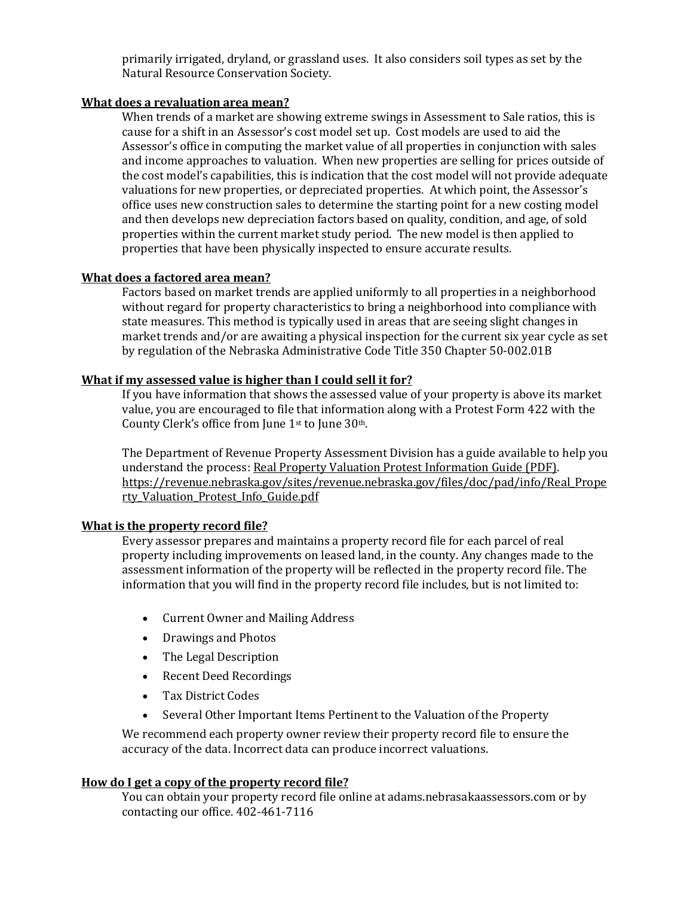primarily irrigated, dryland, or grassland uses. It also considers soil types as set by the Natural Resource Conservation Society.

### **What does a revaluation area mean?**

When trends of a market are showing extreme swings in Assessment to Sale ratios, this is cause for a shift in an Assessor's cost model set up. Cost models are used to aid the Assessor's office in computing the market value of all properties in conjunction with sales and income approaches to valuation. When new properties are selling for prices outside of the cost model's capabilities, this is indication that the cost model will not provide adequate valuations for new properties, or depreciated properties. At which point, the Assessor's office uses new construction sales to determine the starting point for a new costing model and then develops new depreciation factors based on quality, condition, and age, of sold properties within the current market study period. The new model is then applied to properties that have been physically inspected to ensure accurate results.

### **What does a factored area mean?**

Factors based on market trends are applied uniformly to all properties in a neighborhood without regard for property characteristics to bring a neighborhood into compliance with state measures. This method is typically used in areas that are seeing slight changes in market trends and/or are awaiting a physical inspection for the current six year cycle as set by regulation of the Nebraska Administrative Code Title 350 Chapter 50-002.01B

# **What if my [assessed](https://www.lancaster.ne.gov/Faq.aspx?TID=16) value is higher than I could sell it for?**

If you have information that shows the assessed value of your property is above its market value, you are encouraged to file that information along with a Protest Form 422 with the County Clerk's office from June 1st to June 30th.

The Department of Revenue Property Assessment Division has a guide available to help you understand the process: Real Property Valuation Protest [Information](http://www.revenue.nebraska.gov/PAD/infoguide/Real_Property_Valuation_Protest_Info_Guide.pdf) Guide (PDF). [https://revenue.nebraska.gov/sites/revenue.nebraska.gov/files/doc/pad/info/Real\\_Prope](https://revenue.nebraska.gov/sites/revenue.nebraska.gov/files/doc/pad/info/Real_Property_Valuation_Protest_Info_Guide.pdf) [rty\\_Valuation\\_Protest\\_Info\\_Guide.pdf](https://revenue.nebraska.gov/sites/revenue.nebraska.gov/files/doc/pad/info/Real_Property_Valuation_Protest_Info_Guide.pdf)

### **What is the [property](https://www.sarpy.gov/Faq.aspx?QID=86) record file?**

Every assessor prepares and maintains a property record file for each parcel of real property including improvements on leased land, in the county. Any changes made to the assessment information of the property will be reflected in the property record file. The information that you will find in the property record file includes, but is not limited to:

- Current Owner and Mailing Address
- Drawings and Photos
- The Legal Description
- Recent Deed Recordings
- Tax District Codes
- Several Other Important Items Pertinent to the Valuation of the Property

We recommend each property owner review their property record file to ensure the accuracy of the data. Incorrect data can produce incorrect valuations.

### **How do I get a copy of the [property](https://www.sarpy.gov/Faq.aspx?QID=86) record file?**

You can obtain your property record file online at adams.nebrasakaassessors.com or by contacting our office. 402-461-7116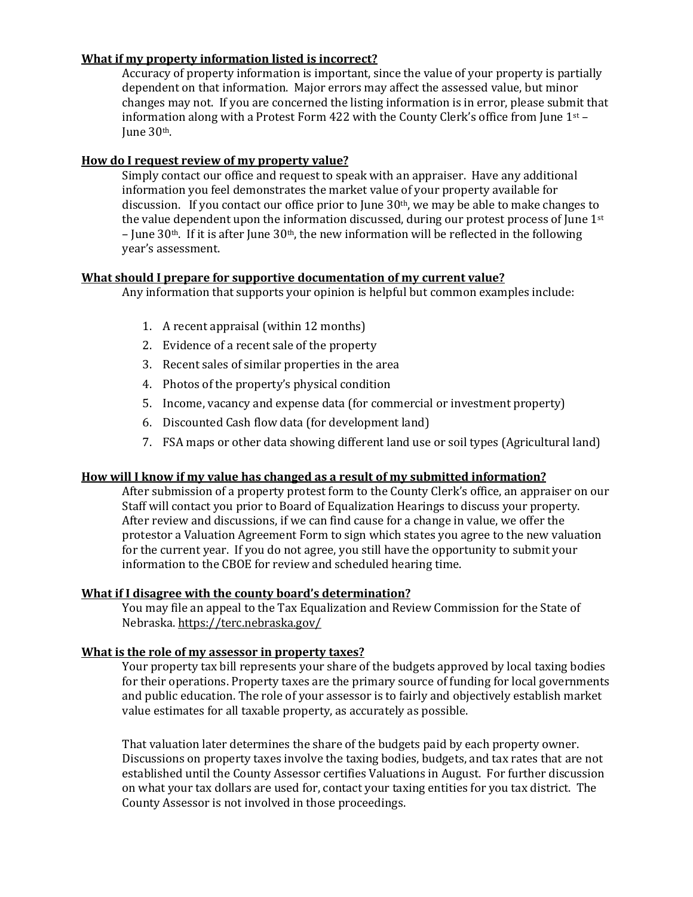# **What if my property [information](https://www.lancaster.ne.gov/Faq.aspx?TID=16) listed is incorrect?**

Accuracy of property information is important, since the value of your property is partially dependent on that information. Major errors may affect the assessed value, but minor changes may not. If you are concerned the listing information is in error, please submit that information along with a Protest Form 422 with the County Clerk's office from June  $1<sup>st</sup>$  – June 30th.

### **How do I request review of my [property](https://www.lancaster.ne.gov/Faq.aspx?TID=16) value?**

Simply contact our office and request to speak with an appraiser. Have any additional information you feel demonstrates the market value of your property available for discussion. If you contact our office prior to June 30<sup>th</sup>, we may be able to make changes to the value dependent upon the information discussed, during our protest process of June  $1<sup>st</sup>$ – June 30<sup>th</sup>. If it is after June 30<sup>th</sup>, the new information will be reflected in the following year's assessment.

# **What should I prepare for supportive [documentation](https://www.lancaster.ne.gov/Faq.aspx?TID=16) of my current value?**

Any information that supports your opinion is helpful but common examples include:

- 1. A recent appraisal (within 12 months)
- 2. Evidence of a recent sale of the property
- 3. Recent sales of similar properties in the area
- 4. Photos of the property's physical condition
- 5. Income, vacancy and expense data (for commercial or investment property)
- 6. Discounted Cash flow data (for development land)
- 7. FSA maps or other data showing different land use or soil types (Agricultural land)

### **How will I know if my value has changed as a result of my submitted [information?](https://www.lancaster.ne.gov/Faq.aspx?TID=16)**

After submission of a property protest form to the County Clerk's office, an appraiser on our Staff will contact you prior to Board of Equalization Hearings to discuss your property. After review and discussions, if we can find cause for a change in value, we offer the protestor a Valuation Agreement Form to sign which states you agree to the new valuation for the current year. If you do not agree, you still have the opportunity to submit your information to the CBOE for review and scheduled hearing time.

# **What if I disagree with the county board's [determination?](https://www.sarpy.gov/Faq.aspx?QID=86)**

You may file an appeal to the Tax Equalization and Review Commission for the State of Nebraska[. https://terc.nebraska.gov/](https://terc.nebraska.gov/)

### **What is the role of my assessor in [property](https://www.lancaster.ne.gov/Faq.aspx?TID=16) taxes?**

Your property tax bill represents your share of the budgets approved by local taxing bodies for their operations. Property taxes are the primary source of funding for local governments and public education. The role of your assessor is to fairly and objectively establish market value estimates for all taxable property, as accurately as possible.

That valuation later determines the share of the budgets paid by each property owner. Discussions on property taxes involve the taxing bodies, budgets, and tax rates that are not established until the County Assessor certifies Valuations in August. For further discussion on what your tax dollars are used for, contact your taxing entities for you tax district. The County Assessor is not involved in those proceedings.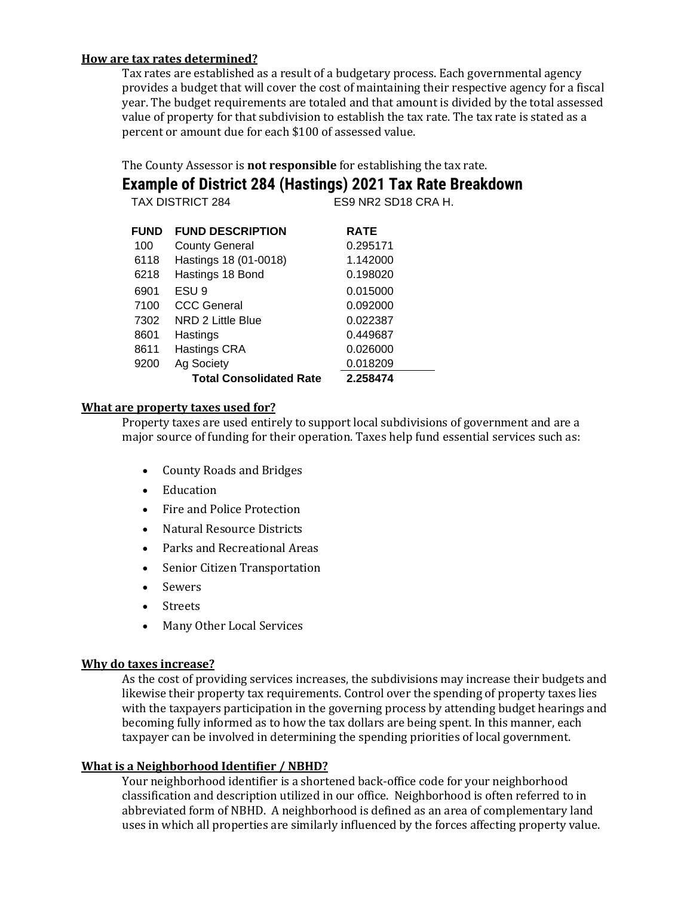# **How are tax rates [determined?](https://www.sarpy.gov/Faq.aspx?QID=86)**

Tax rates are established as a result of a budgetary process. Each governmental agency provides a budget that will cover the cost of maintaining their respective agency for a fiscal year. The budget requirements are totaled and that amount is divided by the total assessed value of property for that subdivision to establish the tax rate. The tax rate is stated as a percent or amount due for each \$100 of assessed value.

The County Assessor is **not responsible** for establishing the tax rate.

**Example of District 284 (Hastings) 2021 Tax Rate Breakdown**

| <b>TAX DISTRICT 284</b> |                                | ES9 NR2 SD18 CRA H. |
|-------------------------|--------------------------------|---------------------|
| <b>FUND</b>             | <b>FUND DESCRIPTION</b>        | <b>RATE</b>         |
| 100                     | <b>County General</b>          | 0.295171            |
| 6118                    | Hastings 18 (01-0018)          | 1.142000            |
| 6218                    | Hastings 18 Bond               | 0.198020            |
| 6901                    | ESU <sub>9</sub>               | 0.015000            |
| 7100                    | <b>CCC General</b>             | 0.092000            |
| 7302                    | NRD 2 Little Blue              | 0.022387            |
| 8601                    | Hastings                       | 0.449687            |
| 8611                    | Hastings CRA                   | 0.026000            |
| 9200                    | Ag Society                     | 0.018209            |
|                         | <b>Total Consolidated Rate</b> | 2.258474            |

### **What are [property](https://www.sarpy.gov/Faq.aspx?QID=86) taxes used for?**

Property taxes are used entirely to support local subdivisions of government and are a major source of funding for their operation. Taxes help fund essential services such as:

- County Roads and Bridges
- Education
- Fire and Police Protection
- Natural Resource Districts
- Parks and Recreational Areas
- Senior Citizen Transportation
- Sewers
- Streets
- Many Other Local Services

### **Why do taxes increase?**

As the cost of providing services increases, the subdivisions may increase their budgets and likewise their property tax requirements. Control over the spending of property taxes lies with the taxpayers participation in the governing process by attending budget hearings and becoming fully informed as to how the tax dollars are being spent. In this manner, each taxpayer can be involved in determining the spending priorities of local government.

### **What is a [Neighborhood](https://www.sarpy.gov/Faq.aspx?QID=86) Identifier / NBHD?**

Your neighborhood identifier is a shortened back-office code for your neighborhood classification and description utilized in our office. Neighborhood is often referred to in abbreviated form of NBHD. A neighborhood is defined as an area of complementary land uses in which all properties are similarly influenced by the forces affecting property value.